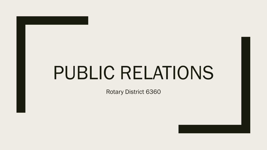# PUBLIC RELATIONS

Rotary District 6360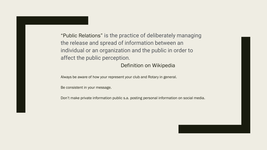"Public Relations" is the practice of deliberately managing the release and spread of information between an individual or an organization and the public in order to affect the public perception.

## Definition on Wikipedia

Always be aware of how your represent your club and Rotary in general.

Be consistent in your message.

Don't make private information public s.a. posting personal information on social media.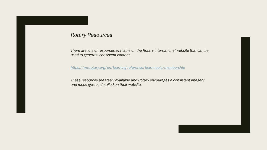## *Rotary Resources*

*There are lots of resources available on the Rotary International website that can be used to generate consistent content.*

*<https://my.rotary.org/en/learning-reference/learn-topic/membership>*

*These resources are freely available and Rotary encourages a consistent imagery and messages as detailed on their website.*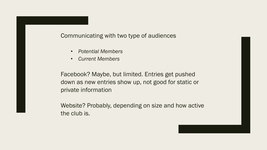Communicating with two type of audiences

- *Potential Members*
- *Current Members*

Facebook? Maybe, but limited. Entries get pushed down as new entries show up, not good for static or private information

Website? Probably, depending on size and how active the club is.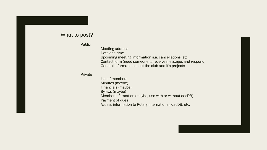## What to post?

Public

Meeting address Date and time Upcoming meeting information s.a. cancellations, etc. Contact form (need someone to receive messages and respond) General information about the club and it's projects

#### Private

List of members Minutes (maybe) Financials (maybe) Bylaws (maybe) Member information (maybe, use with or without dacDB) Payment of dues Access information to Rotary International, dacDB, etc.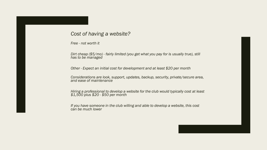## *Cost of having a website?*

*Free - not worth it*

*Dirt cheap (\$5/mo) - fairly limited (you get what you pay for is usually true), still has to be managed*

*Other - Expect an initial cost for development and at least \$20 per month*

*Considerations are look, support, updates, backup, security, private/secure area, and ease of maintenance*

*Hiring a professional to develop a website for the club would typically cost at least \$1,500 plus \$20 - \$50 per month*

*If you have someone in the club willing and able to develop a website, this cost can be much lower*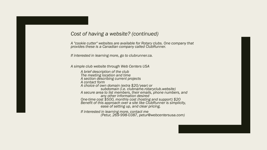## *Cost of having a website? (continued)*

*A "cookie cutter" websites are available for Rotary clubs. One company that provides these is a Canadian company called ClubRunner.*

*If interested in learning more, go to clubrunner.ca.*

*A simple club website through Web Centers USA*

*A brief description of the club The meeting location and time A section describing current projects A contact form A choice of own domain (extra \$20/year) or subdomain (i.e. clubname.rotaryclub.website) A secure area to list members, their emails, phone numbers, and any other information desired One-time cost \$500, monthly cost (hosting and support) \$20 Benefit of this approach over a site like ClubRunner is simplicity, ease of setting up, and clear pricing.*

*If interested in learning more, contact me (Petur, 269-998-0387, petur@webcentersusa.com)*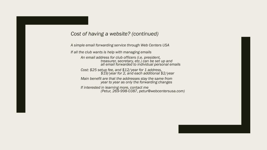*Cost of having a website? (continued)*

*A simple email forwarding service through Web Centers USA*

*If all the club wants is help with managing emails*

*An email address for club officers (i.e. president, treasurer, secretary, etc.) can be set up and all email forwarded to individual personal emails*

*Cost: \$25 setup fee, and \$12/year for 1 address, \$19/year for 2, and each additional \$2/year*

*Main benefit are that the addresses stay the same from year to year as only the forwarding changes*

*If interested in learning more, contact me (Petur, 269-998-0387, petur@webcentersusa.com)*